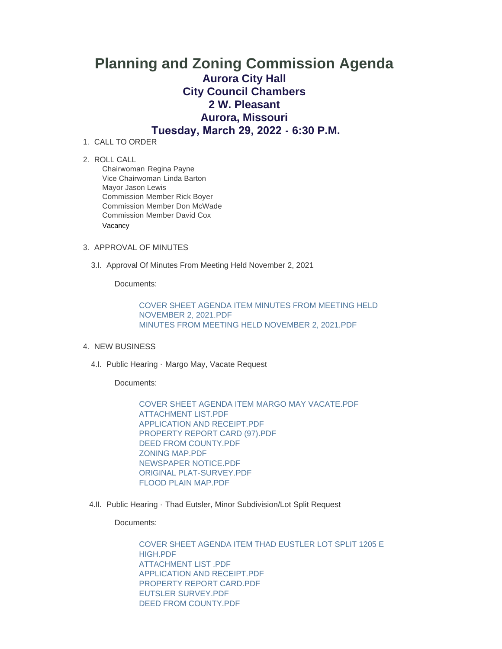## **Planning and Zoning Commission Agenda Aurora City Hall City Council Chambers 2 W. Pleasant Aurora, Missouri Tuesday, March 29, 2022 - 6:30 P.M.**

- 1. CALL TO ORDER
- 2. ROLL CALL

Chairwoman Regina Payne Vice Chairwoman Linda Barton Mayor Jason Lewis Commission Member Rick Boyer Commission Member Don McWade Commission Member David Cox Vacancy

## 3. APPROVAL OF MINUTES

3.I. Approval Of Minutes From Meeting Held November 2, 2021

Documents:

[COVER SHEET AGENDA ITEM MINUTES FROM MEETING HELD](https://www.aurora-cityhall.org/AgendaCenter/ViewFile/Item/1666?fileID=1960)  NOVEMBER 2, 2021.PDF [MINUTES FROM MEETING HELD NOVEMBER 2, 2021.PDF](https://www.aurora-cityhall.org/AgendaCenter/ViewFile/Item/1666?fileID=1961)

- 4. NEW BUSINESS
	- 4.I. Public Hearing Margo May, Vacate Request

Documents:

[COVER SHEET AGENDA ITEM MARGO MAY VACATE.PDF](https://www.aurora-cityhall.org/AgendaCenter/ViewFile/Item/1667?fileID=1962) [ATTACHMENT LIST.PDF](https://www.aurora-cityhall.org/AgendaCenter/ViewFile/Item/1667?fileID=1970) [APPLICATION AND RECEIPT.PDF](https://www.aurora-cityhall.org/AgendaCenter/ViewFile/Item/1667?fileID=1963) [PROPERTY REPORT CARD \(97\).PDF](https://www.aurora-cityhall.org/AgendaCenter/ViewFile/Item/1667?fileID=1964) [DEED FROM COUNTY.PDF](https://www.aurora-cityhall.org/AgendaCenter/ViewFile/Item/1667?fileID=1965) [ZONING MAP.PDF](https://www.aurora-cityhall.org/AgendaCenter/ViewFile/Item/1667?fileID=1966) [NEWSPAPER NOTICE.PDF](https://www.aurora-cityhall.org/AgendaCenter/ViewFile/Item/1667?fileID=1967) [ORIGINAL PLAT-SURVEY.PDF](https://www.aurora-cityhall.org/AgendaCenter/ViewFile/Item/1667?fileID=1968) [FLOOD PLAIN MAP.PDF](https://www.aurora-cityhall.org/AgendaCenter/ViewFile/Item/1667?fileID=1969)

4.II. Public Hearing - Thad Eutsler, Minor Subdivision/Lot Split Request

Documents:

[COVER SHEET AGENDA ITEM THAD EUSTLER LOT SPLIT 1205 E](https://www.aurora-cityhall.org/AgendaCenter/ViewFile/Item/1668?fileID=1971)  HIGH.PDF [ATTACHMENT LIST .PDF](https://www.aurora-cityhall.org/AgendaCenter/ViewFile/Item/1668?fileID=1972) [APPLICATION AND RECEIPT.PDF](https://www.aurora-cityhall.org/AgendaCenter/ViewFile/Item/1668?fileID=1973) [PROPERTY REPORT CARD.PDF](https://www.aurora-cityhall.org/AgendaCenter/ViewFile/Item/1668?fileID=1974) [EUTSLER SURVEY.PDF](https://www.aurora-cityhall.org/AgendaCenter/ViewFile/Item/1668?fileID=1975) [DEED FROM COUNTY.PDF](https://www.aurora-cityhall.org/AgendaCenter/ViewFile/Item/1668?fileID=1976)